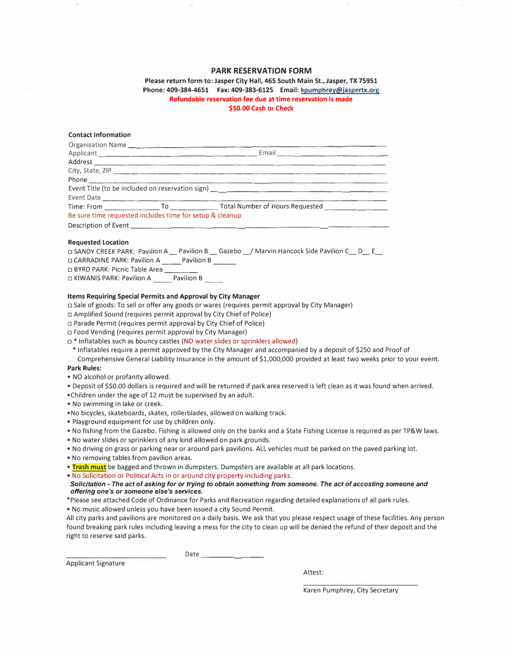## **PARK RESERVATION FORM**

**Please return form to: Jasper City Hall, 465 South Main St., Jasper, TX 75951 Phone: 409-384-4651 Fax: 409-383-6125 Email: kpumphrey@jaspertx.org Refundable reservation fee due at time reservation is made \$50.00 Cash or Check** 

### **Contact Information**

|                                                          | Email <b>Experience of the Contract of the Contract of the Contract of the Contract of the Contract of the Contract of the Contract of the Contract of the Contract of the Contract of the Contract of the Contract of the Contr</b> |
|----------------------------------------------------------|--------------------------------------------------------------------------------------------------------------------------------------------------------------------------------------------------------------------------------------|
|                                                          |                                                                                                                                                                                                                                      |
|                                                          |                                                                                                                                                                                                                                      |
|                                                          |                                                                                                                                                                                                                                      |
|                                                          |                                                                                                                                                                                                                                      |
|                                                          |                                                                                                                                                                                                                                      |
|                                                          |                                                                                                                                                                                                                                      |
| Be sure time requested includes time for setup & cleanup |                                                                                                                                                                                                                                      |
|                                                          |                                                                                                                                                                                                                                      |

#### **Requested Location**

o SANDY CREEK PARK: Pavilion A\_ Pavilion B \_Gazebo\_/ Marvin Hancock Side Pavilion C\_ D\_ E\_

o CARRADINE PARK: Pavilion A Pavilion B

□ BYRD PARK: Picnic Table Area

□ KIWANIS PARK: Pavilion A Pavilion B

### **Items Requiring Special Permits and Approval by City Manager**

 $\Box$  Sale of goods: To sell or offer any goods or wares (requires permit approval by City Manager)

- o Amplified Sound (requires permit approval by City Chief of Police)
- $\Box$  Parade Permit (requires permit approval by City Chief of Police)
- o Food Vending (requires permit approval by City Manager)
- $\Box$  \* Inflatables such as bouncy castles (NO water slides or sprinklers allowed)

\* Inflatables require a permit approved by the City Manager and accompanied by a deposit of \$250 and Proof of Comprehensive General Liability Insurance in the amount of \$1,000,000 provided at least two weeks prior to your event.

#### **Park Rules:**

- NO alcohol or profanity allowed.
- Deposit of \$SO.OD dollars is required and will be returned if park area reserved is left clean as it was found when arrived.
- •Children under the age of 12 must be supervised by an adult.
- No swimming in lake or creek.
- •No bicycles, skateboards, skates, rollerblades, allowed on walking track.
- Playground equipment for use by children only.
- No fishing from the Gazebo. Fishing is allowed only on the banks and a State Fishing License is required as per TP&W laws.
- No water slides or sprinklers of any kind allowed on park grounds.
- No driving on grass or parking near or around park pavilions. ALL vehicles must be parked on the paved parking lot.
- No removing tables from pavilion areas.
- **Trash must** be bagged and thrown in dumpsters. Dumpsters are available at all park locations.
- No Solicitation or Political Acts in or around city property including parks.
- *Solicitation* **-** *The act of asking for or trying to obtain something from someone. The act of accosting someone and offering one's or someone else's services.*
- \*Please see attached Code of Ordinance for Parks and Recreation regarding detailed explanations of all park rules.
- No music allowed unless you have been issued a city Sound Permit.

All city parks and pavilions are monitored on a daily basis. We ask that you please respect usage of these facilities. Any person found breaking park rules including leaving a mess for the city to clean up will be denied the refund of their deposit and the right to reserve said parks.

Applicant Signature

Date

Attest:

Karen Pumphrey, City Secretary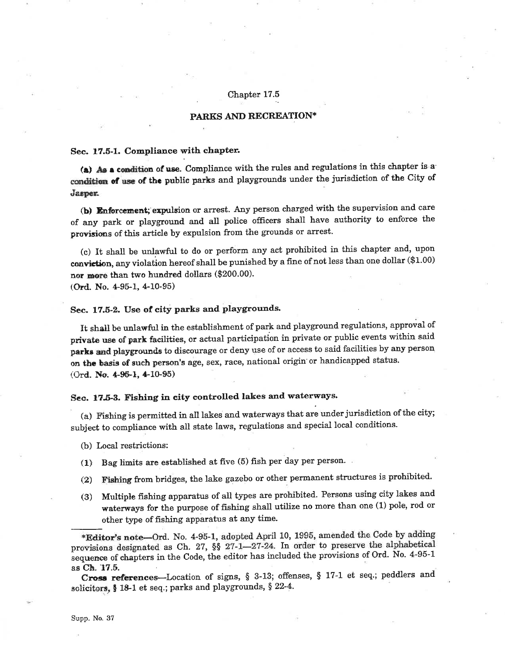## Chapter 17.5

## PARKS AND RECREATION\*

### Sec. 17.5-1. Compliance with chapter.

(a) As a condition of use. Compliance with the rules and regulations in this chapter is a condition of use of the public parks and playgrounds under the jurisdiction of the City of Jasper.

(b) Enforcement; expulsion or arrest. Any person charged with the supervision and care of any park or playground and all police officers shall have authority to enforce the provisions of this article by expulsion from the grounds or arrest.

(c) It shall be unlawful to do or perform any act prohibited in this chapter and, upon conviction, any violation hereof shall be punished by a fine of not less than one dollar (\$1.00) nor more than two hundred dollars (\$200.00).

(Ord. No. 4-95-1, 4-10-95)

## Sec. 17.5-2. Use of city parks and playgrounds.

It shall be unlawful in the establishment of park and playground regulations, approval of private use of park facilities, or actual participation in private or public events within said parks and playgrounds to discourage or deny use of or access to said facilities by any person on the basis of such person's age, sex, race, national origin or handicapped status. (Ord. No. 4-95-1, 4-10-95)

# Sec. 17.5-3. Fishing in city controlled lakes and waterways.

(a) Fishing is permitted in all lakes and waterways that are under jurisdiction of the city; subject to compliance with all state laws, regulations and special local conditions.

- (b) Local restrictions:
- (1) Bag limits are established at five (5) fish per day per person.
- Fishing from bridges, the lake gazebo or other permanent structures is prohibited.  $(2)$
- Multiple fishing apparatus of all types are prohibited. Persons using city lakes and  $(3)$ waterways for the purpose of fishing shall utilize no more than one (1) pole, rod or other type of fishing apparatus at any time.

\*Editor's note-Ord. No. 4-95-1, adopted April 10, 1995, amended the Code by adding provisions designated as Ch. 27, §§ 27-1-27-24. In order to preserve the alphabetical sequence of chapters in the Code, the editor has included the provisions of Ord. No. 4-95-1 as Ch. 17.5.

Cross references—Location of signs, § 3-13; offenses, § 17-1 et seq.; peddlers and solicitors, § 18-1 et seq.; parks and playgrounds, § 22-4.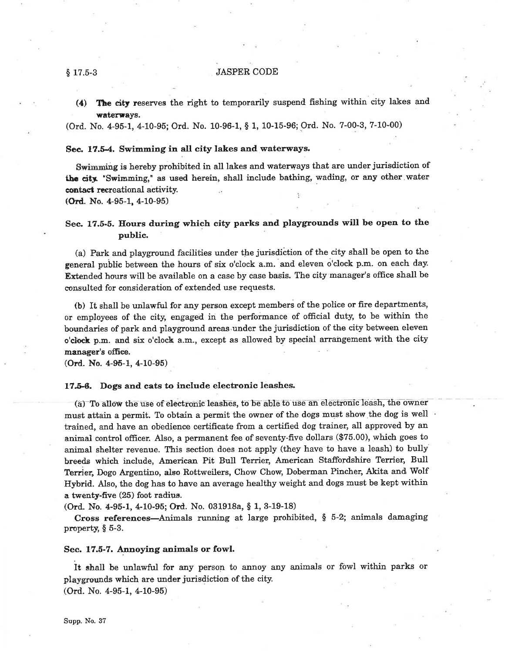#### **JASPER CODE**

The city reserves the right to temporarily suspend fishing within city lakes and  $(4)$ waterways.

(Ord. No. 4-95-1, 4-10-95; Ord. No. 10-96-1, § 1, 10-15-96; Ord. No. 7-00-3, 7-10-00)

### Sec. 17.5-4. Swimming in all city lakes and waterways.

Swimming is hereby prohibited in all lakes and waterways that are under jurisdiction of the city. "Swimming," as used herein, shall include bathing, wading, or any other water contact recreational activity.

(Ord. No. 4-95-1, 4-10-95)

## Sec. 17.5-5. Hours during which city parks and playgrounds will be open to the public.

(a) Park and playground facilities under the jurisdiction of the city shall be open to the general public between the hours of six o'clock a.m. and eleven o'clock p.m. on each day. Extended hours will be available on a case by case basis. The city manager's office shall be consulted for consideration of extended use requests.

(b) It shall be unlawful for any person except members of the police or fire departments, or employees of the city, engaged in the performance of official duty, to be within the boundaries of park and playground areas under the jurisdiction of the city between eleven o'clock p.m. and six o'clock a.m., except as allowed by special arrangement with the city manager's office.

(Ord. No. 4-95-1, 4-10-95)

## 17.5-6. Dogs and cats to include electronic leashes.

(a) To allow the use of electronic leashes, to be able to use an electronic leash, the owner must attain a permit. To obtain a permit the owner of the dogs must show the dog is well trained, and have an obedience certificate from a certified dog trainer, all approved by an animal control officer. Also, a permanent fee of seventy-five dollars (\$75.00), which goes to animal shelter revenue. This section does not apply (they have to have a leash) to bully breeds which include, American Pit Bull Terrier, American Staffordshire Terrier, Bull Terrier, Dogo Argentino, also Rottweilers, Chow Chow, Doberman Pincher, Akita and Wolf Hybrid. Also, the dog has to have an average healthy weight and dogs must be kept within a twenty-five (25) foot radius.

(Ord. No. 4-95-1, 4-10-95; Ord. No. 031918a, § 1, 3-19-18)

Cross references—Animals running at large prohibited, § 5-2; animals damaging property,  $\S$  5-3.

#### Sec. 17.5-7. Annoying animals or fowl.

It shall be unlawful for any person to annoy any animals or fowl within parks or playgrounds which are under jurisdiction of the city. (Ord. No. 4-95-1, 4-10-95)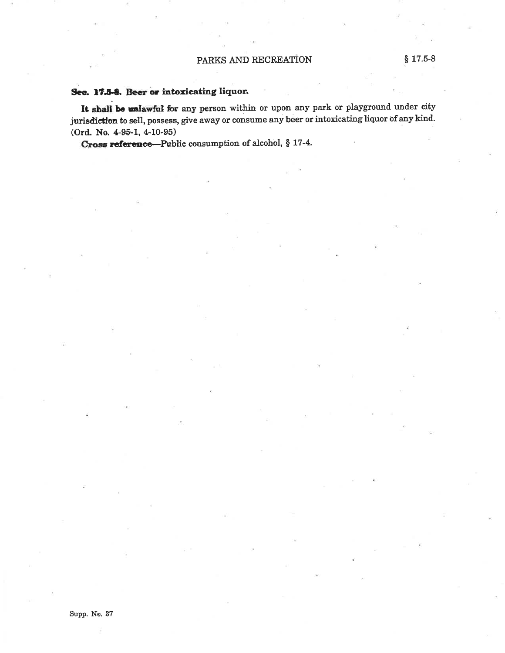## Sec. 17.5-8. Beer or intoxicating liquor.

It shall be unlawful for any person within or upon any park or playground under city jurisdiction to sell, possess, give away or consume any beer or intoxicating liquor of any kind. (Ord. No. 4-95-1, 4-10-95)

Cross reference—Public consumption of alcohol, § 17-4.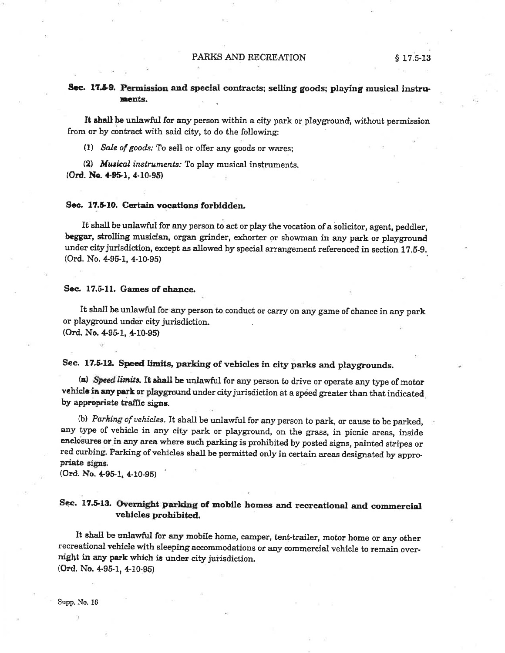## Sec. 17.5-9. Permission and special contracts; selling goods; playing musical instruments.

It shall be unlawful for any person within a city park or playground, without permission from or by contract with said city, to do the following:

(1) Sale of goods: To sell or offer any goods or wares:

(2) Musical instruments: To play musical instruments. (Ord. No. 4-95-1, 4-10-95)

### Sec. 17.5-10. Certain vocations forbidden.

It shall be unlawful for any person to act or play the vocation of a solicitor, agent, peddler, beggar, strolling musician, organ grinder, exhorter or showman in any park or playground under city jurisdiction, except as allowed by special arrangement referenced in section 17.5-9.  $(Ord. No. 4-95-1, 4-10-95)$ 

#### Sec. 17.5-11. Games of chance.

It shall be unlawful for any person to conduct or carry on any game of chance in any park or playground under city jurisdiction.  $(Ord. No. 4-95-1, 4-10-95)$ 

# Sec. 17.5-12. Speed limits, parking of vehicles in city parks and playgrounds.

(a) Speed limits. It shall be unlawful for any person to drive or operate any type of motor vehicle in any park or playground under city jurisdiction at a speed greater than that indicated by appropriate traffic signs.

(b) Parking of vehicles. It shall be unlawful for any person to park, or cause to be parked, any type of vehicle in any city park or playground, on the grass, in picnic areas, inside enclosures or in any area where such parking is prohibited by posted signs, painted stripes or red curbing. Parking of vehicles shall be permitted only in certain areas designated by appropriate signs.

(Ord. No. 4-95-1, 4-10-95)

## Sec. 17.5-13. Overnight parking of mobile homes and recreational and commercial vehicles prohibited.

It shall be unlawful for any mobile home, camper, tent-trailer, motor home or any other recreational vehicle with sleeping accommodations or any commercial vehicle to remain overnight in any park which is under city jurisdiction. (Ord. No. 4-95-1, 4-10-95)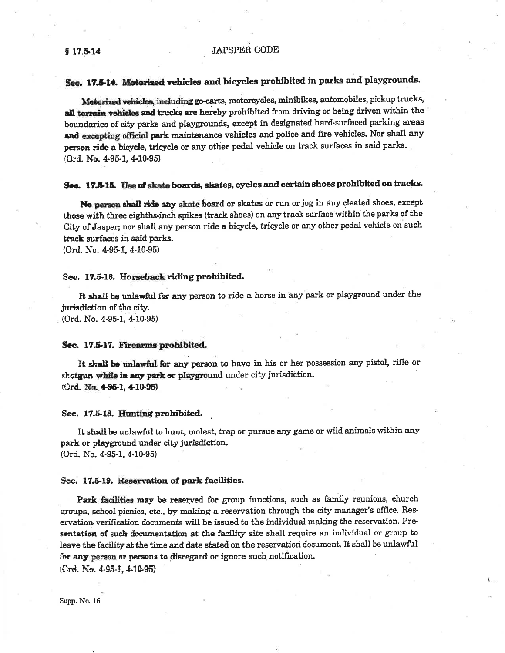## Sec. 17.5-14. Motorized vehicles and bicycles prohibited in parks and playgrounds.

Motorized vehicles, including go-carts, motorcycles, minibikes, automobiles, pickup trucks, all terrain vehicles and trucks are hereby prohibited from driving or being driven within the boundaries of city parks and playgrounds, except in designated hard-surfaced parking areas and excepting official park maintenance vehicles and police and fire vehicles. Nor shall any person ride a bicycle, tricycle or any other pedal vehicle on track surfaces in said parks. (Ord. No. 4-95-1, 4-10-95)

## See. 17.5-15. Use of skate boards, skates, cycles and certain shoes prohibited on tracks.

No person shall ride any skate board or skates or run or jog in any cleated shoes, except those with three eighths-inch spikes (track shoes) on any track surface within the parks of the City of Jasper; nor shall any person ride a bicycle, tricycle or any other pedal vehicle on such track surfaces in said parks.

(Ord. No. 4-95-1, 4-10-95)

### Sec. 17.5-16. Horseback riding prohibited.

It shall be unlawful for any person to ride a horse in any park or playground under the jurisdiction of the city.

(Ord. No. 4-95-1, 4-10-95)

### Sec. 17.5-17. Firearms prohibited.

It shall be unlawful for any person to have in his or her possession any pistol, rifle or shotgun while in any park or playground under city jurisdiction. (Ord. No. 4-95-1, 4-10-95)

Sec. 17.5-18. Hunting prohibited.

It shall be unlawful to hunt, molest, trap or pursue any game or wild animals within any park or playground under city jurisdiction. (Ord. No. 4-95-1, 4-10-95)

### Sec. 17.5-19. Reservation of park facilities.

Park facilities may be reserved for group functions, such as family reunions, church groups, school picnics, etc., by making a reservation through the city manager's office. Reservation verification documents will be issued to the individual making the reservation. Presentation of such documentation at the facility site shall require an individual or group to leave the facility at the time and date stated on the reservation document. It shall be unlawful for any person or persons to disregard or ignore such notification. (Ord. No.  $4.95-1.410-95$ )